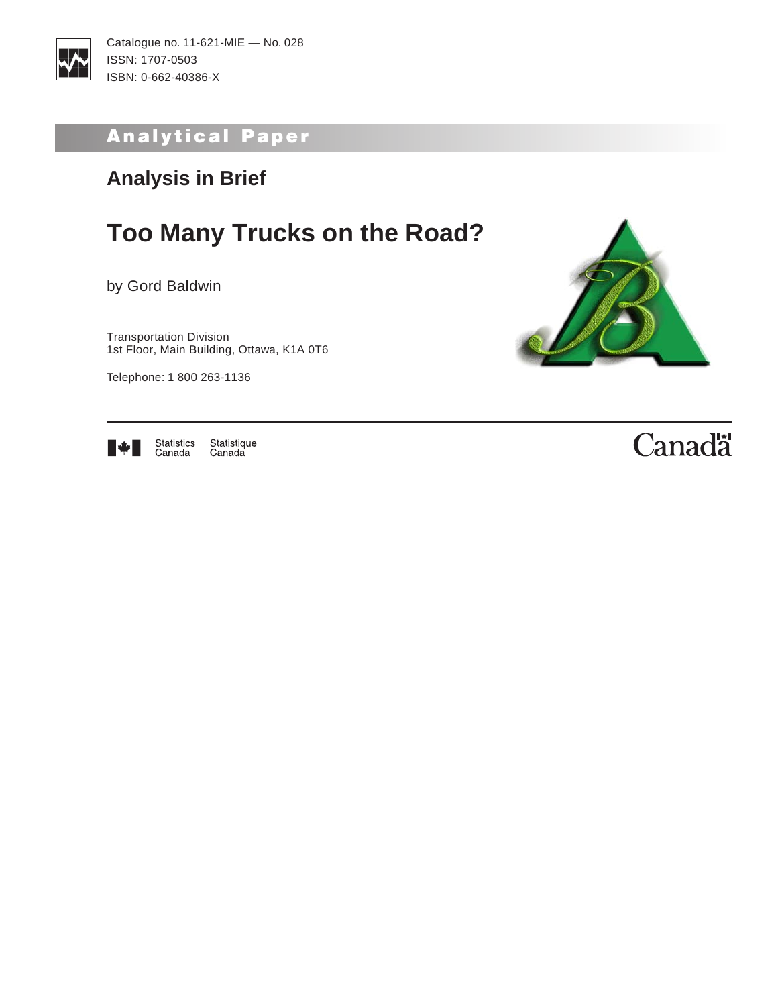

## Analytical Paper

## **Analysis in Brief**

## **Too Many Trucks on the Road?**

by Gord Baldwin

Transportation Division 1st Floor, Main Building, Ottawa, K1A 0T6

Telephone: 1 800 263-1136





Statistics<br>Canada Statistique<br>Canada

# Canadä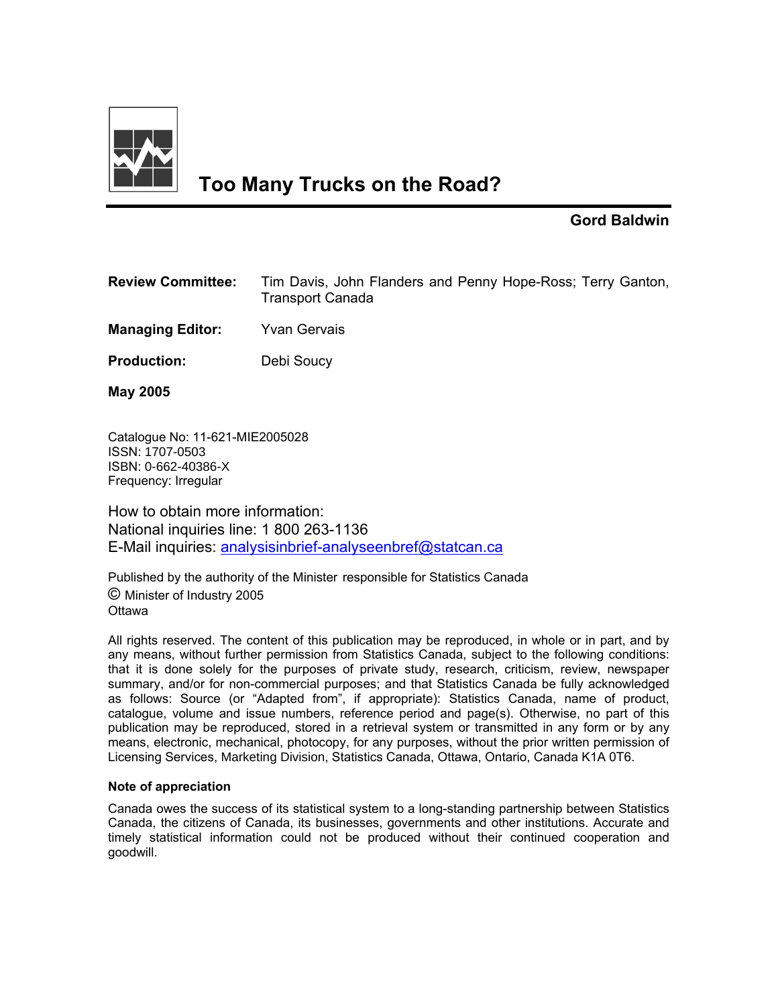

## **Too Many Trucks on the Road?**

#### **Gord Baldwin**

| <b>Review Committee:</b> | Tim Davis, John Flanders and Penny Hope-Ross; Terry Ganton,<br><b>Transport Canada</b> |
|--------------------------|----------------------------------------------------------------------------------------|
| <b>Managing Editor:</b>  | <b>Yvan Gervais</b>                                                                    |
| <b>Production:</b>       | Debi Soucy                                                                             |
|                          |                                                                                        |

**May 2005** 

Catalogue No: 11-621-MIE2005028 ISSN: 1707-0503 ISBN: 0-662-40386-X Frequency: Irregular

How to obtain more information: National inquiries line: 1 800 263-1136 E-Mail inquiries: analysisinbrief-analyseenbref@statcan.ca

Published by the authority of the Minister responsible for Statistics Canada © Minister of Industry 2005 **Ottawa** 

All rights reserved. The content of this publication may be reproduced, in whole or in part, and by any means, without further permission from Statistics Canada, subject to the following conditions: that it is done solely for the purposes of private study, research, criticism, review, newspaper summary, and/or for non-commercial purposes; and that Statistics Canada be fully acknowledged as follows: Source (or "Adapted from", if appropriate): Statistics Canada, name of product, catalogue, volume and issue numbers, reference period and page(s). Otherwise, no part of this publication may be reproduced, stored in a retrieval system or transmitted in any form or by any means, electronic, mechanical, photocopy, for any purposes, without the prior written permission of Licensing Services, Marketing Division, Statistics Canada, Ottawa, Ontario, Canada K1A 0T6.

#### **Note of appreciation**

Canada owes the success of its statistical system to a long-standing partnership between Statistics Canada, the citizens of Canada, its businesses, governments and other institutions. Accurate and timely statistical information could not be produced without their continued cooperation and goodwill.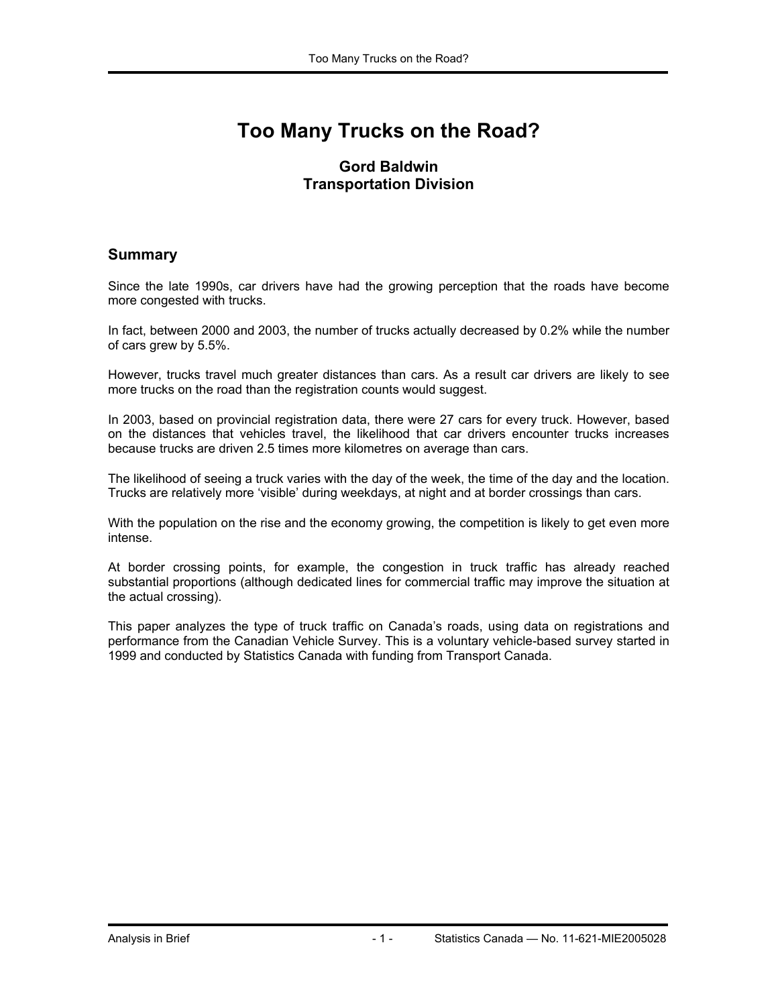## **Too Many Trucks on the Road?**

#### **Gord Baldwin Transportation Division**

#### **Summary**

Since the late 1990s, car drivers have had the growing perception that the roads have become more congested with trucks.

In fact, between 2000 and 2003, the number of trucks actually decreased by 0.2% while the number of cars grew by 5.5%.

However, trucks travel much greater distances than cars. As a result car drivers are likely to see more trucks on the road than the registration counts would suggest.

In 2003, based on provincial registration data, there were 27 cars for every truck. However, based on the distances that vehicles travel, the likelihood that car drivers encounter trucks increases because trucks are driven 2.5 times more kilometres on average than cars.

The likelihood of seeing a truck varies with the day of the week, the time of the day and the location. Trucks are relatively more 'visible' during weekdays, at night and at border crossings than cars.

With the population on the rise and the economy growing, the competition is likely to get even more intense.

At border crossing points, for example, the congestion in truck traffic has already reached substantial proportions (although dedicated lines for commercial traffic may improve the situation at the actual crossing).

This paper analyzes the type of truck traffic on Canada's roads, using data on registrations and performance from the Canadian Vehicle Survey. This is a voluntary vehicle-based survey started in 1999 and conducted by Statistics Canada with funding from Transport Canada.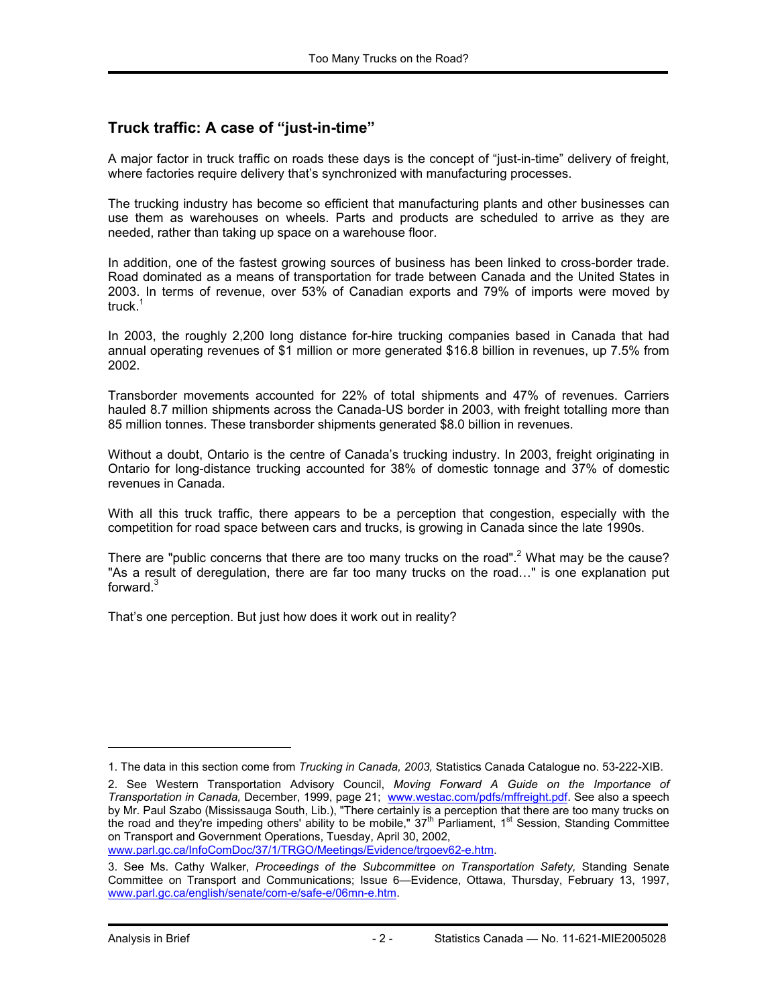#### **Truck traffic: A case of "just-in-time"**

A major factor in truck traffic on roads these days is the concept of "just-in-time" delivery of freight, where factories require delivery that's synchronized with manufacturing processes.

The trucking industry has become so efficient that manufacturing plants and other businesses can use them as warehouses on wheels. Parts and products are scheduled to arrive as they are needed, rather than taking up space on a warehouse floor.

In addition, one of the fastest growing sources of business has been linked to cross-border trade. Road dominated as a means of transportation for trade between Canada and the United States in 2003. In terms of revenue, over 53% of Canadian exports and 79% of imports were moved by truck $1$ 

In 2003, the roughly 2,200 long distance for-hire trucking companies based in Canada that had annual operating revenues of \$1 million or more generated \$16.8 billion in revenues, up 7.5% from 2002.

Transborder movements accounted for 22% of total shipments and 47% of revenues. Carriers hauled 8.7 million shipments across the Canada-US border in 2003, with freight totalling more than 85 million tonnes. These transborder shipments generated \$8.0 billion in revenues.

Without a doubt, Ontario is the centre of Canada's trucking industry. In 2003, freight originating in Ontario for long-distance trucking accounted for 38% of domestic tonnage and 37% of domestic revenues in Canada.

With all this truck traffic, there appears to be a perception that congestion, especially with the competition for road space between cars and trucks, is growing in Canada since the late 1990s.

There are "public concerns that there are too many trucks on the road".<sup>2</sup> What may be the cause? "As a result of deregulation, there are far too many trucks on the road…" is one explanation put forward.<sup>3</sup>

That's one perception. But just how does it work out in reality?

-

<sup>1.</sup> The data in this section come from *Trucking in Canada, 2003,* Statistics Canada Catalogue no. 53-222-XIB.

<sup>2.</sup> See Western Transportation Advisory Council, *Moving Forward A Guide on the Importance of Transportation in Canada,* December, 1999, page 21; www.westac.com/pdfs/mffreight.pdf. See also a speech by Mr. Paul Szabo (Mississauga South, Lib.), "There certainly is a perception that there are too many trucks on the road and they're impeding others' ability to be mobile," 37<sup>th</sup> Parliament, 1<sup>st</sup> Session, Standing Committee on Transport and Government Operations, Tuesday, April 30, 2002,

www.parl.gc.ca/InfoComDoc/37/1/TRGO/Meetings/Evidence/trgoev62-e.htm.

<sup>3.</sup> See Ms. Cathy Walker, *Proceedings of the Subcommittee on Transportation Safety,* Standing Senate Committee on Transport and Communications; Issue 6—Evidence, Ottawa, Thursday, February 13, 1997, www.parl.gc.ca/english/senate/com-e/safe-e/06mn-e.htm.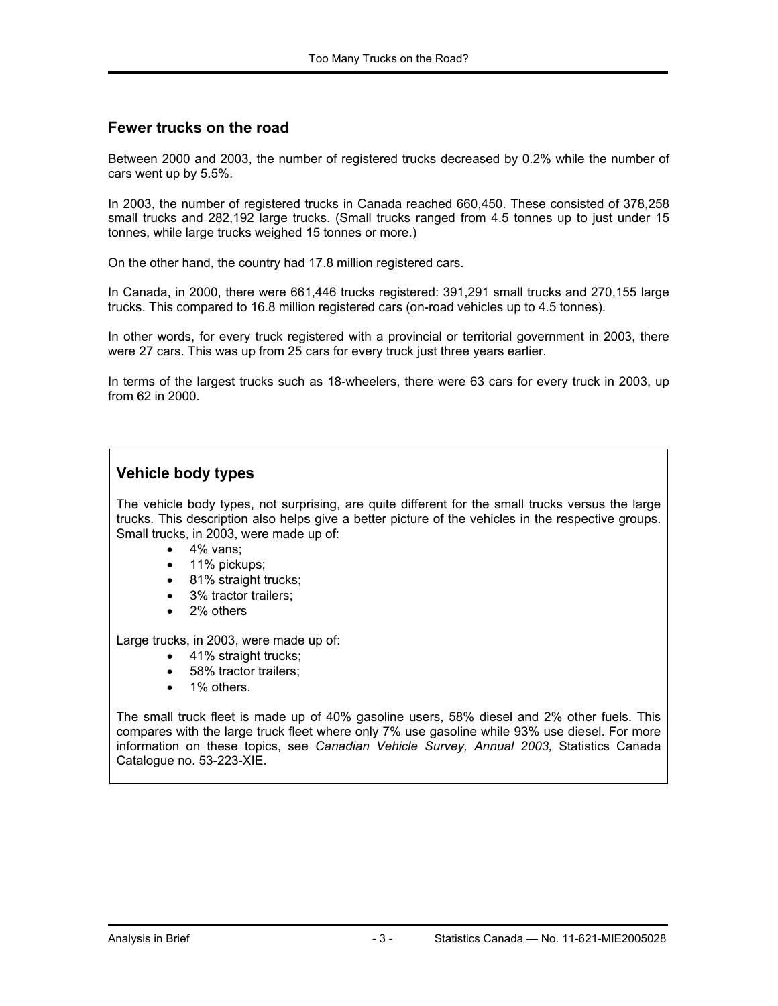#### **Fewer trucks on the road**

Between 2000 and 2003, the number of registered trucks decreased by 0.2% while the number of cars went up by 5.5%.

In 2003, the number of registered trucks in Canada reached 660,450. These consisted of 378,258 small trucks and 282,192 large trucks. (Small trucks ranged from 4.5 tonnes up to just under 15 tonnes, while large trucks weighed 15 tonnes or more.)

On the other hand, the country had 17.8 million registered cars.

In Canada, in 2000, there were 661,446 trucks registered: 391,291 small trucks and 270,155 large trucks. This compared to 16.8 million registered cars (on-road vehicles up to 4.5 tonnes).

In other words, for every truck registered with a provincial or territorial government in 2003, there were 27 cars. This was up from 25 cars for every truck just three years earlier.

In terms of the largest trucks such as 18-wheelers, there were 63 cars for every truck in 2003, up from 62 in 2000.

#### **Vehicle body types**

The vehicle body types, not surprising, are quite different for the small trucks versus the large trucks. This description also helps give a better picture of the vehicles in the respective groups. Small trucks, in 2003, were made up of:

- $\bullet$  4% vans:
- 11% pickups;
- 81% straight trucks;
- 3% tractor trailers;
- 2% others

Large trucks, in 2003, were made up of:

- 41% straight trucks;
- 58% tractor trailers;
- 1% others.

The small truck fleet is made up of 40% gasoline users, 58% diesel and 2% other fuels. This compares with the large truck fleet where only 7% use gasoline while 93% use diesel. For more information on these topics, see *Canadian Vehicle Survey, Annual 2003,* Statistics Canada Catalogue no. 53-223-XIE.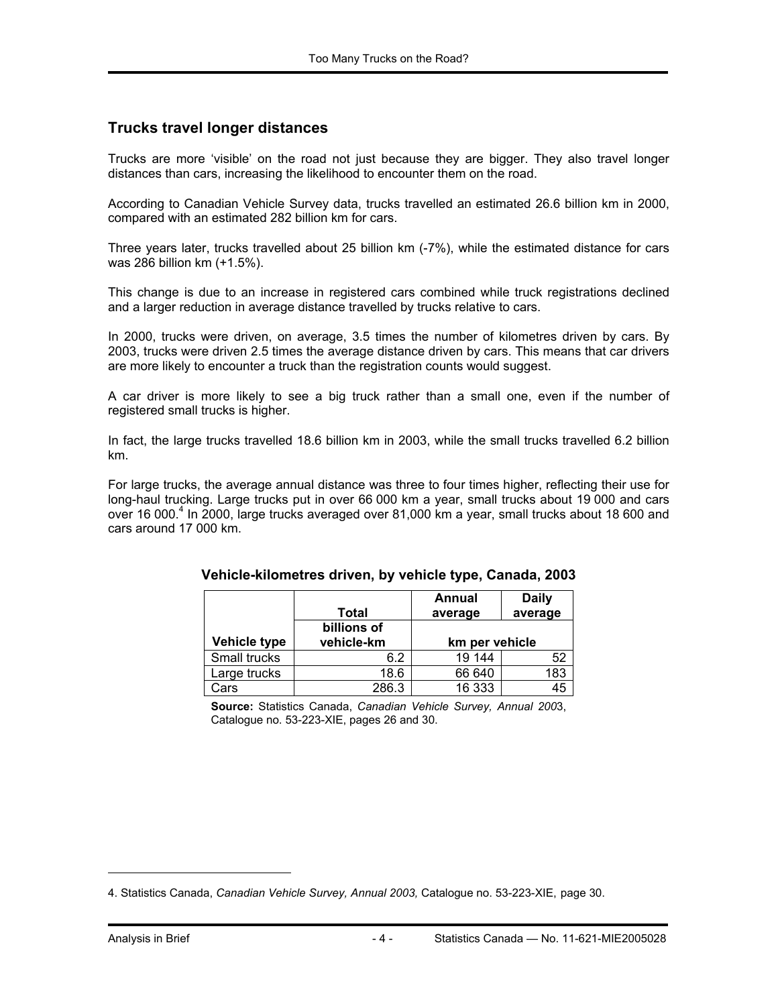#### **Trucks travel longer distances**

Trucks are more 'visible' on the road not just because they are bigger. They also travel longer distances than cars, increasing the likelihood to encounter them on the road.

According to Canadian Vehicle Survey data, trucks travelled an estimated 26.6 billion km in 2000, compared with an estimated 282 billion km for cars.

Three years later, trucks travelled about 25 billion km (-7%), while the estimated distance for cars was 286 billion km (+1.5%).

This change is due to an increase in registered cars combined while truck registrations declined and a larger reduction in average distance travelled by trucks relative to cars.

In 2000, trucks were driven, on average, 3.5 times the number of kilometres driven by cars. By 2003, trucks were driven 2.5 times the average distance driven by cars. This means that car drivers are more likely to encounter a truck than the registration counts would suggest.

A car driver is more likely to see a big truck rather than a small one, even if the number of registered small trucks is higher.

In fact, the large trucks travelled 18.6 billion km in 2003, while the small trucks travelled 6.2 billion km.

For large trucks, the average annual distance was three to four times higher, reflecting their use for long-haul trucking. Large trucks put in over 66 000 km a year, small trucks about 19 000 and cars over 16 000.<sup>4</sup> In 2000, large trucks averaged over 81,000 km a year, small trucks about 18 600 and cars around 17 000 km.

|                     | Total                     | Annual<br>average | <b>Daily</b><br>average |  |
|---------------------|---------------------------|-------------------|-------------------------|--|
| <b>Vehicle type</b> | billions of<br>vehicle-km | km per vehicle    |                         |  |
| Small trucks        | 6.2                       | 19 144            | 52                      |  |
| Large trucks        | 18.6                      | 66 640            | 183                     |  |
| Cars                | 286.3                     | 16 333            | 45                      |  |

| Vehicle-kilometres driven, by vehicle type, Canada, 2003 |  |  |  |  |  |  |
|----------------------------------------------------------|--|--|--|--|--|--|
|----------------------------------------------------------|--|--|--|--|--|--|

**Source:** Statistics Canada, *Canadian Vehicle Survey, Annual 200*3, Catalogue no. 53-223-XIE, pages 26 and 30.

1

<sup>4.</sup> Statistics Canada, *Canadian Vehicle Survey, Annual 2003,* Catalogue no. 53-223-XIE, page 30.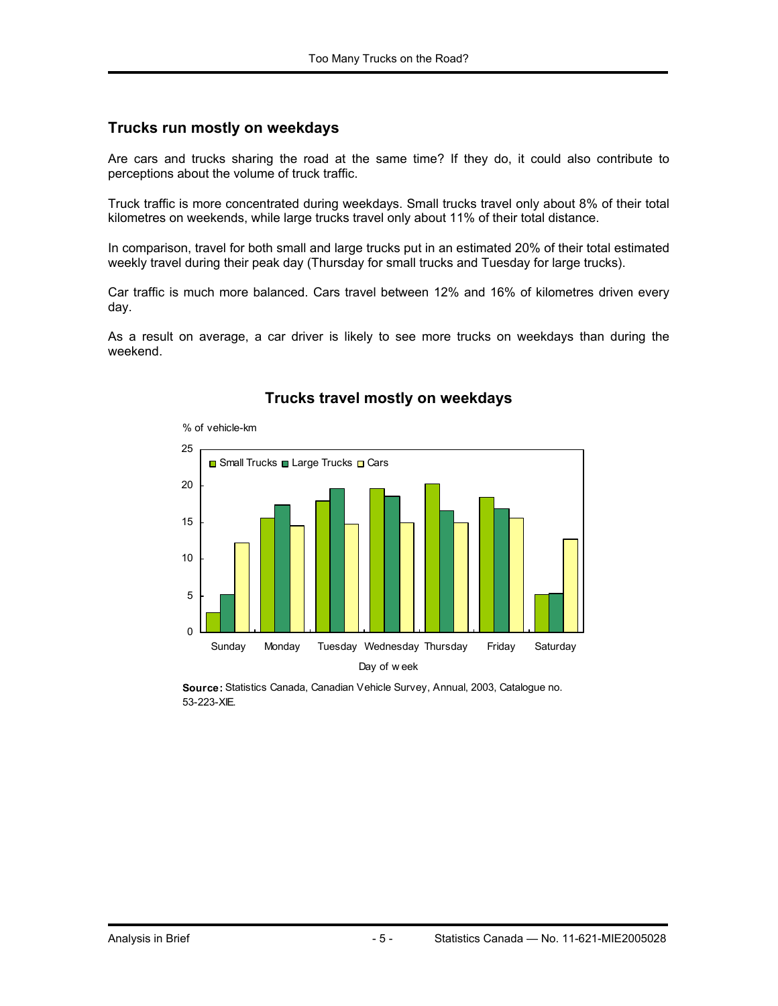#### **Trucks run mostly on weekdays**

Are cars and trucks sharing the road at the same time? If they do, it could also contribute to perceptions about the volume of truck traffic.

Truck traffic is more concentrated during weekdays. Small trucks travel only about 8% of their total kilometres on weekends, while large trucks travel only about 11% of their total distance.

In comparison, travel for both small and large trucks put in an estimated 20% of their total estimated weekly travel during their peak day (Thursday for small trucks and Tuesday for large trucks).

Car traffic is much more balanced. Cars travel between 12% and 16% of kilometres driven every day.

As a result on average, a car driver is likely to see more trucks on weekdays than during the weekend.



#### **Trucks travel mostly on weekdays**

**Source:** Statistics Canada, Canadian Vehicle Survey, Annual, 2003, Catalogue no. 53-223-XIE.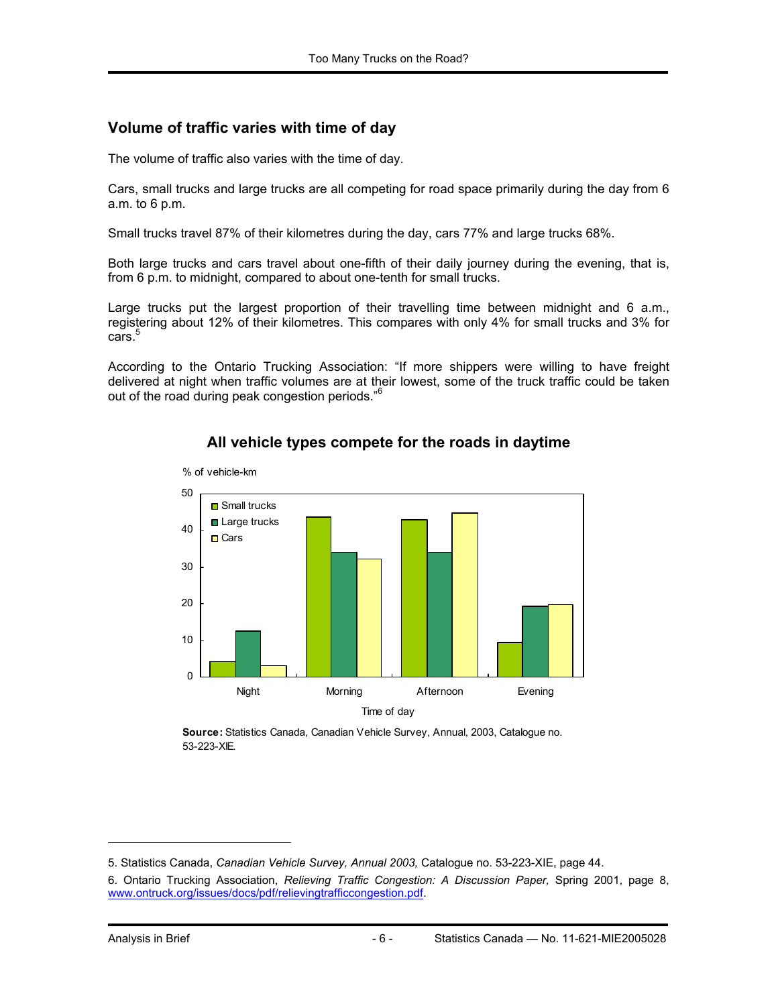#### **Volume of traffic varies with time of day**

The volume of traffic also varies with the time of day.

Cars, small trucks and large trucks are all competing for road space primarily during the day from 6 a.m. to 6 p.m.

Small trucks travel 87% of their kilometres during the day, cars 77% and large trucks 68%.

Both large trucks and cars travel about one-fifth of their daily journey during the evening, that is, from 6 p.m. to midnight, compared to about one-tenth for small trucks.

Large trucks put the largest proportion of their travelling time between midnight and 6 a.m., registering about 12% of their kilometres. This compares with only 4% for small trucks and 3% for  $cars.<sup>5</sup>$ 

According to the Ontario Trucking Association: "If more shippers were willing to have freight delivered at night when traffic volumes are at their lowest, some of the truck traffic could be taken out of the road during peak congestion periods."<sup>6</sup>



#### **All vehicle types compete for the roads in daytime**

**Source:** Statistics Canada, Canadian Vehicle Survey, Annual, 2003, Catalogue no. 53-223-XIE.

1

<sup>5.</sup> Statistics Canada, *Canadian Vehicle Survey, Annual 2003,* Catalogue no. 53-223-XIE, page 44.

<sup>6.</sup> Ontario Trucking Association, *Relieving Traffic Congestion: A Discussion Paper,* Spring 2001, page 8, www.ontruck.org/issues/docs/pdf/relievingtrafficcongestion.pdf.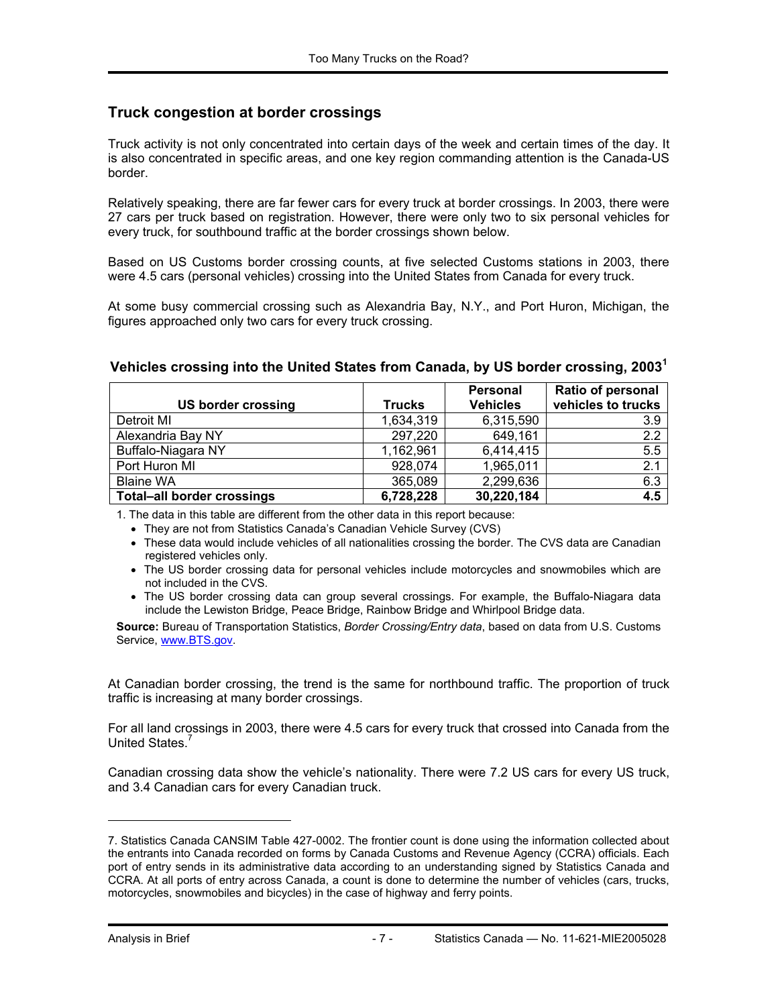#### **Truck congestion at border crossings**

Truck activity is not only concentrated into certain days of the week and certain times of the day. It is also concentrated in specific areas, and one key region commanding attention is the Canada-US border.

Relatively speaking, there are far fewer cars for every truck at border crossings. In 2003, there were 27 cars per truck based on registration. However, there were only two to six personal vehicles for every truck, for southbound traffic at the border crossings shown below.

Based on US Customs border crossing counts, at five selected Customs stations in 2003, there were 4.5 cars (personal vehicles) crossing into the United States from Canada for every truck.

At some busy commercial crossing such as Alexandria Bay, N.Y., and Port Huron, Michigan, the figures approached only two cars for every truck crossing.

|                                   |               | <b>Personal</b> | <b>Ratio of personal</b> |
|-----------------------------------|---------------|-----------------|--------------------------|
| US border crossing                | <b>Trucks</b> | <b>Vehicles</b> | vehicles to trucks       |
| Detroit MI                        | 1,634,319     | 6,315,590       | 3.9                      |
| Alexandria Bay NY                 | 297,220       | 649,161         | 2.2                      |
| Buffalo-Niagara NY                | 1,162,961     | 6,414,415       | 5.5                      |
| Port Huron MI                     | 928,074       | 1,965,011       | 2.1                      |
| <b>Blaine WA</b>                  | 365,089       | 2,299,636       | 6.3                      |
| <b>Total-all border crossings</b> | 6,728,228     | 30,220,184      | 4.5                      |

#### **Vehicles crossing into the United States from Canada, by US border crossing, 2003<sup>1</sup>**

1. The data in this table are different from the other data in this report because:

• They are not from Statistics Canada's Canadian Vehicle Survey (CVS)

- These data would include vehicles of all nationalities crossing the border. The CVS data are Canadian registered vehicles only.
- The US border crossing data for personal vehicles include motorcycles and snowmobiles which are not included in the CVS.
- The US border crossing data can group several crossings. For example, the Buffalo-Niagara data include the Lewiston Bridge, Peace Bridge, Rainbow Bridge and Whirlpool Bridge data.

**Source:** Bureau of Transportation Statistics, *Border Crossing/Entry data*, based on data from U.S. Customs Service, www.BTS.gov.

At Canadian border crossing, the trend is the same for northbound traffic. The proportion of truck traffic is increasing at many border crossings.

For all land crossings in 2003, there were 4.5 cars for every truck that crossed into Canada from the United States<sup>7</sup>

Canadian crossing data show the vehicle's nationality. There were 7.2 US cars for every US truck, and 3.4 Canadian cars for every Canadian truck.

-

<sup>7.</sup> Statistics Canada CANSIM Table 427-0002. The frontier count is done using the information collected about the entrants into Canada recorded on forms by Canada Customs and Revenue Agency (CCRA) officials. Each port of entry sends in its administrative data according to an understanding signed by Statistics Canada and CCRA. At all ports of entry across Canada, a count is done to determine the number of vehicles (cars, trucks, motorcycles, snowmobiles and bicycles) in the case of highway and ferry points.